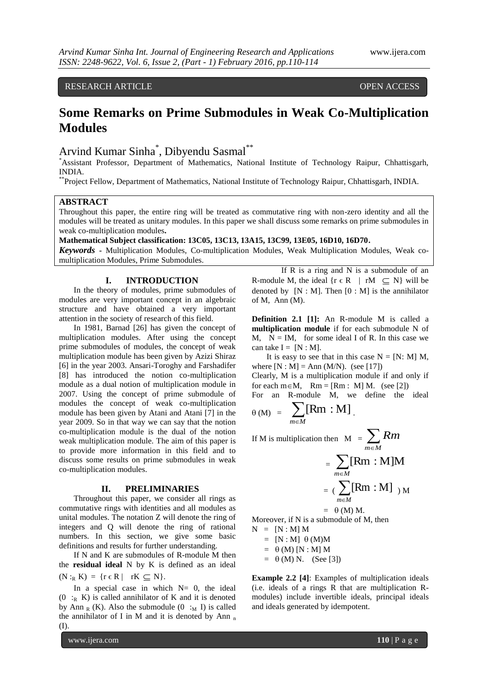## RESEARCH ARTICLE **CONSERVERS** OPEN ACCESS

# **Some Remarks on Prime Submodules in Weak Co-Multiplication Modules**

# Arvind Kumar Sinha\* , Dibyendu Sasmal\*\*

\*Assistant Professor, Department of Mathematics, National Institute of Technology Raipur, Chhattisgarh, INDIA.

\*\*Project Fellow, Department of Mathematics, National Institute of Technology Raipur, Chhattisgarh, INDIA.

#### **ABSTRACT**

Throughout this paper, the entire ring will be treated as commutative ring with non-zero identity and all the modules will be treated as unitary modules. In this paper we shall discuss some remarks on prime submodules in weak co-multiplication modules**.** 

**Mathematical Subject classification: 13C05, 13C13, 13A15, 13C99, 13E05, 16D10, 16D70.**

*Keywords* **-** Multiplication Modules, Co-multiplication Modules, Weak Multiplication Modules, Weak comultiplication Modules, Prime Submodules.

## **I. INTRODUCTION**

In the theory of modules, prime submodules of modules are very important concept in an algebraic structure and have obtained a very important attention in the society of research of this field.

In 1981, Barnad [26] has given the concept of multiplication modules. After using the concept prime submodules of modules, the concept of weak multiplication module has been given by Azizi Shiraz [6] in the year 2003. Ansari-Toroghy and Farshadifer [8] has introduced the notion co-multiplication module as a dual notion of multiplication module in 2007. Using the concept of prime submodule of modules the concept of weak co-multiplication module has been given by Atani and Atani [7] in the year 2009. So in that way we can say that the notion co-multiplication module is the dual of the notion weak multiplication module. The aim of this paper is to provide more information in this field and to discuss some results on prime submodules in weak co-multiplication modules.

### **II. PRELIMINARIES**

Throughout this paper, we consider all rings as commutative rings with identities and all modules as unital modules. The notation Z will denote the ring of integers and Q will denote the ring of rational numbers. In this section, we give some basic definitions and results for further understanding.

If N and K are submodules of R-module M then the **residual ideal** N by K is defined as an ideal  $(N :_{R} K) = \{r \in R \mid rK \subseteq N\}.$ 

In a special case in which  $N=$  0, the ideal  $(0 :_{R} K)$  is called annihilator of K and it is denoted by Ann <sub>R</sub> (K). Also the submodule  $(0 :_M I)$  is called the annihilator of I in M and it is denoted by Ann  $<sub>n</sub>$ </sub> (I).

www.ijera.com **110** | P a g e

If R is a ring and N is a submodule of an R-module M, the ideal  $\{r \in R \mid rM \subseteq N\}$  will be denoted by  $[N : M]$ . Then  $[0 : M]$  is the annihilator of M, Ann (M).

**Definition 2.1 [1]:** An R-module M is called a **multiplication module** if for each submodule N of M,  $N = IM$ , for some ideal I of R. In this case we can take  $I = [N : M]$ .

It is easy to see that in this case  $N = [N: M]$  M, where  $[N : M] = Ann (M/N)$ . (see [17])

Clearly, M is a multiplication module if and only if for each  $m \in M$ ,  $Rm = [Rm : M] M$ . (see [2]) For an R-module M, we define the ideal

$$
_{\theta\,(M)}\ =\ \sum_{\mathclap{m\in M}}[Rm:M]\ .
$$

If M is multiplication then  $M = \sum_{m \in M} M$ *Rm*

$$
= \sum_{m \in M} [Rm : M]M
$$

$$
= (\sum_{m \in M} [Rm : M]_{M})
$$

$$
= \theta (M) M.
$$

Moreover, if N is a submodule of M, then  $N = [N : M] M$ 

 $=$  [N : M]  $\theta$  (M)M  $= \theta(M)$  [N : M] M  $= \theta$  (M) N. (See [3])

**Example 2.2 [4]**: Examples of multiplication ideals (i.e. ideals of a rings R that are multiplication Rmodules) include invertible ideals, principal ideals and ideals generated by idempotent.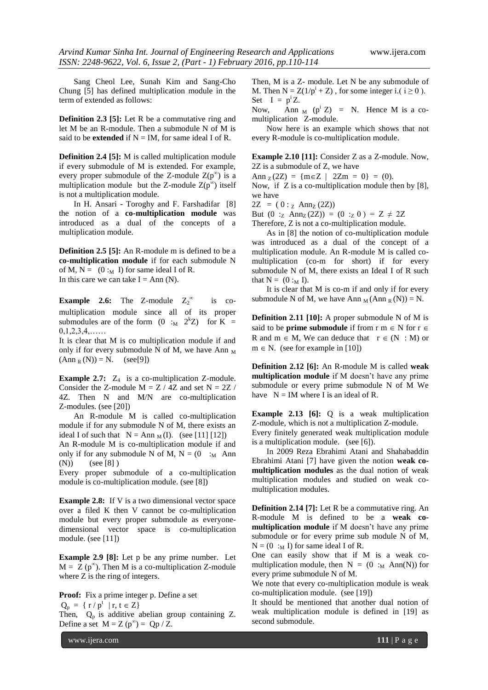Sang Cheol Lee, Sunah Kim and Sang-Cho Chung [5] has defined multiplication module in the term of extended as follows:

**Definition 2.3 [5]:** Let R be a commutative ring and let M be an R-module. Then a submodule N of M is said to be **extended** if  $N = IM$ , for same ideal I of R.

**Definition 2.4 [5]:** M is called multiplication module if every submodule of M is extended. For example, every proper submodule of the Z-module  $Z(p^{\infty})$  is a multiplication module but the Z-module  $Z(p^{\infty})$  itself is not a multiplication module.

In H. Ansari - Toroghy and F. Farshadifar [8] the notion of a **co-multiplication module** was introduced as a dual of the concepts of a multiplication module.

**Definition 2.5 [5]:** An R-module m is defined to be a **co-multiplication module** if for each submodule N of M,  $N = (0 :_M I)$  for same ideal I of R. In this care we can take  $I = Ann(N)$ .

**Example 2.6:** The Z-module  $Z_2^{\infty}$  is comultiplication module since all of its proper submodules are of the form  $(0 :_M 2^k Z)$  for  $\overline{K} =$  $0,1,2,3,4,\ldots$ 

It is clear that M is co multiplication module if and only if for every submodule N of M, we have Ann  $_M$  $(Ann_R(N)) = N.$  (see[9])

**Example 2.7:** Z<sub>4</sub> is a co-multiplication Z-module. Consider the Z-module  $M = Z / 4Z$  and set  $N = 2Z /$ 4Z. Then N and M/N are co-multiplication Z-modules. (see [20])

An R-module M is called co-multiplication module if for any submodule N of M, there exists an ideal I of such that  $N = Ann_M(I)$ . (see [11] [12]) An R-module M is co-multiplication module if and

only if for any submodule N of M,  $N = (0 :_M$  Ann (N)) (see [8])  $(see [8])$ 

Every proper submodule of a co-multiplication module is co-multiplication module. (see [8])

**Example 2.8:** If V is a two dimensional vector space over a filed K then V cannot be co-multiplication module but every proper submodule as everyonedimensional vector space is co-multiplication module. (see [11])

**Example 2.9 [8]:** Let p be any prime number. Let  $M = Z (p^{\infty})$ . Then M is a co-multiplication Z-module where Z is the ring of integers.

**Proof:** Fix a prime integer p. Define a set  $Q_p = \{ r / p^t \mid r, t \in Z \}$ Then,  $Q_p$  is additive abelian group containing Z. Define a set  $M = Z(p^{\infty}) = Qp / Z$ .

Then, M is a Z- module. Let N be any submodule of M. Then  $N = Z(1/p^{i} + Z)$ , for some integer i.(  $i \ge 0$ ). Set  $I = p^1 Z$ .

Now, Ann  $_M$  (p<sup>i</sup> Z) = N. Hence M is a comultiplication Z-module.

Now here is an example which shows that not every R-module is co-multiplication module.

**Example 2.10 [11]:** Consider Z as a Z-module. Now, 2Z is a submodule of Z, we have

Ann  $Z(2Z) = \{m \in Z \mid 2Zm = 0\} = (0).$ 

Now, if Z is a co-multiplication module then by [8], we have

 $2Z = (0:_{Z} \text{Ann}_{Z}(2Z))$ 

But  $(0 :_Z \text{Ann}_Z(2Z)) = (0 :_Z 0) = Z \neq 2Z$ 

Therefore, Z is not a co-multiplication module.

As in [8] the notion of co-multiplication module was introduced as a dual of the concept of a multiplication module. An R-module M is called comultiplication (co-m for short) if for every submodule N of M, there exists an Ideal I of R such that  $N = (0 :_M I)$ .

It is clear that M is co-m if and only if for every submodule N of M, we have Ann  $_M$  (Ann  $_R$  (N)) = N.

**Definition 2.11 [10]:** A proper submodule N of M is said to be **prime submodule** if from  $r$  m  $\in$  N for  $r \in$ R and  $m \in M$ , We can deduce that  $r \in (N : M)$  or  $m \in N$ . (see for example in [10])

**Definition 2.12 [6]:** An R-module M is called **weak multiplication module** if M doesn't have any prime submodule or every prime submodule N of M We have  $N = IM$  where I is an ideal of R.

**Example 2.13 [6]:** Q is a weak multiplication Z-module, which is not a multiplication Z-module.

Every finitely generated weak multiplication module is a multiplication module. (see [6]).

In 2009 Reza Ebrahimi Atani and Shahabaddin Ebrahimi Atani [7] have given the notion **weak comultiplication modules** as the dual notion of weak multiplication modules and studied on weak comultiplication modules.

**Definition 2.14 [7]:** Let R be a commutative ring. An R-module M is defined to be a **weak comultiplication module** if M doesn't have any prime submodule or for every prime sub module N of M,  $N = (0 :_M I)$  for same ideal I of R.

One can easily show that if M is a weak comultiplication module, then  $N = (0 :_M \text{Ann}(N))$  for every prime submodule N of M.

We note that every co-multiplication module is weak co-multiplication module. (see [19])

It should be mentioned that another dual notion of weak multiplication module is defined in [19] as second submodule.

www.ijera.com **111** | P a g e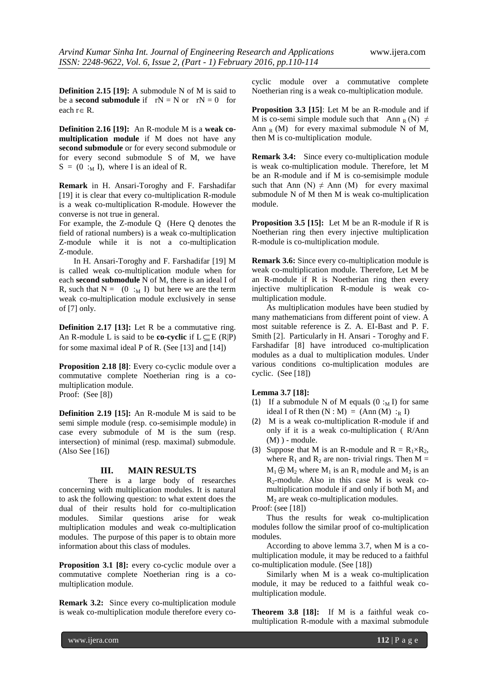**Definition 2.15 [19]:** A submodule N of M is said to be a **second submodule** if  $rN = N$  or  $rN = 0$  for each  $r \in R$ .

**Definition 2.16 [19]:** An R-module M is a **weak comultiplication module** if M does not have any **second submodule** or for every second submodule or for every second submodule S of M, we have  $S = (0 :_{M} I)$ , where I is an ideal of R.

**Remark** in H. Ansari-Toroghy and F. Farshadifar [19] it is clear that every co-multiplication R-module is a weak co-multiplication R-module. However the converse is not true in general.

For example, the Z-module Q (Here Q denotes the field of rational numbers) is a weak co-multiplication Z-module while it is not a co-multiplication Z-module.

In H. Ansari-Toroghy and F. Farshadifar [19] M is called weak co-multiplication module when for each **second submodule** N of M, there is an ideal I of R, such that  $N = (0 :_M I)$  but here we are the term weak co-multiplication module exclusively in sense of [7] only.

**Definition 2.17 [13]:** Let R be a commutative ring. An R-module L is said to be **co-cyclic** if  $L \subseteq E$  (R|P) for some maximal ideal P of R. (See [13] and [14])

**Proposition 2.18 [8]**: Every co-cyclic module over a commutative complete Noetherian ring is a comultiplication module. Proof: (See [8])

**Definition 2.19 [15]:** An R-module M is said to be semi simple module (resp. co-semisimple module) in case every submodule of M is the sum (resp. intersection) of minimal (resp. maximal) submodule. (Also See [16])

### **III. MAIN RESULTS**

There is a large body of researches concerning with multiplication modules. It is natural to ask the following question: to what extent does the dual of their results hold for co-multiplication modules. Similar questions arise for weak multiplication modules and weak co-multiplication modules. The purpose of this paper is to obtain more information about this class of modules.

**Proposition 3.1 [8]:** every co-cyclic module over a commutative complete Noetherian ring is a comultiplication module.

**Remark 3.2:** Since every co-multiplication module is weak co-multiplication module therefore every cocyclic module over a commutative complete Noetherian ring is a weak co-multiplication module.

**Proposition 3.3 [15]**: Let M be an R-module and if M is co-semi simple module such that Ann R(N)  $\neq$ Ann  $_R(M)$  for every maximal submodule N of M, then M is co-multiplication module.

**Remark 3.4:** Since every co-multiplication module is weak co-multiplication module. Therefore, let M be an R-module and if M is co-semisimple module such that Ann  $(N) \neq$  Ann  $(M)$  for every maximal submodule N of M then M is weak co-multiplication module.

**Proposition 3.5 [15]:** Let M be an R-module if R is Noetherian ring then every injective multiplication R-module is co-multiplication module.

**Remark 3.6:** Since every co-multiplication module is weak co-multiplication module. Therefore, Let M be an R-module if R is Noetherian ring then every injective multiplication R-module is weak comultiplication module.

As multiplication modules have been studied by many mathematicians from different point of view. A most suitable reference is Z. A. EI-Bast and P. F. Smith [2]. Particularly in H. Ansari - Toroghy and F. Farshadifar [8] have introduced co-multiplication modules as a dual to multiplication modules. Under various conditions co-multiplication modules are cyclic. (See [18])

#### **Lemma 3.7 [18]:**

- (1) If a submodule N of M equals  $(0 :_{M} I)$  for same ideal I of R then  $(N : M) = (Ann (M) :_{R} I)$
- (2) M is a weak co-multiplication R-module if and only if it is a weak co-multiplication ( R/Ann  $(M)$ ) - module.
- (3) Suppose that M is an R-module and  $R = R_1 \times R_2$ , where  $R_1$  and  $R_2$  are non- trivial rings. Then  $M =$  $M_1 \oplus M_2$  where  $M_1$  is an  $R_1$  module and  $M_2$  is an  $R_2$ -module. Also in this case M is weak comultiplication module if and only if both  $M_1$  and  $M<sub>2</sub>$  are weak co-multiplication modules.

Proof: (see [18])

Thus the results for weak co-multiplication modules follow the similar proof of co-multiplication modules.

According to above lemma 3.7, when M is a comultiplication module, it may be reduced to a faithful co-multiplication module. (See [18])

Similarly when M is a weak co-multiplication module, it may be reduced to a faithful weak comultiplication module.

**Theorem 3.8 [18]:** If M is a faithful weak comultiplication R-module with a maximal submodule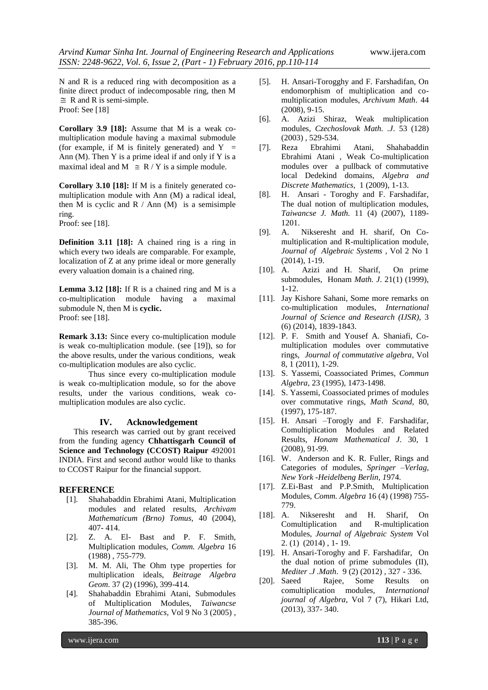N and R is a reduced ring with decomposition as a finite direct product of indecomposable ring, then M  $\cong$  R and R is semi-simple. Proof: See [18]

**Corollary 3.9 [18]:** Assume that M is a weak comultiplication module having a maximal submodule (for example, if M is finitely generated) and  $Y =$ Ann (M). Then  $Y$  is a prime ideal if and only if  $Y$  is a maximal ideal and  $M \cong R/Y$  is a simple module.

**Corollary 3.10 [18]:** If M is a finitely generated comultiplication module with Ann (M) a radical ideal, then M is cyclic and  $R / Ann (M)$  is a semisimple ring. Proof: see [18].

**Definition 3.11 [18]:** A chained ring is a ring in which every two ideals are comparable. For example, localization of Z at any prime ideal or more generally every valuation domain is a chained ring.

**Lemma 3.12 [18]:** If R is a chained ring and M is a co-multiplication module having a maximal submodule N, then M is **cyclic.** Proof: see [18].

**Remark 3.13:** Since every co-multiplication module is weak co-multiplication module. (see [19]), so for the above results, under the various conditions, weak co-multiplication modules are also cyclic.

Thus since every co-multiplication module is weak co-multiplication module, so for the above results, under the various conditions, weak comultiplication modules are also cyclic.

#### **IV. Acknowledgement**

This research was carried out by grant received from the funding agency **Chhattisgarh Council of Science and Technology (CCOST) Raipur** 492001 INDIA. First and second author would like to thanks to CCOST Raipur for the financial support.

#### **REFERENCE**

- [1]. Shahabaddin Ebrahimi Atani, Multiplication modules and related results, *Archivam Mathematicum (Brno) Tomus,* 40 (2004), 407- 414.
- [2]. Z. A. El- Bast and P. F. Smith, Multiplication modules, *Comm. Algebra* 16 (1988) , 755-779.
- [3]. M. M. Ali, The Ohm type properties for multiplication ideals, *Beitrage Algebra Geom*. 37 (2) (1996), 399-414.
- [4]. Shahabaddin Ebrahimi Atani, Submodules of Multiplication Modules, *Taiwancse Journal of Mathematics,* Vol 9 No 3 (2005) , 385-396.
- [5]. H. Ansari-Torogghy and F. Farshadifan, On endomorphism of multiplication and comultiplication modules, *Archivum Math*. 44 (2008), 9-15.
- [6]. A. Azizi Shiraz, Weak multiplication modules, *Czechoslovak Math. .J*. 53 (128) (2003) , 529-534.
- [7]. Reza Ebrahimi Atani, Shahabaddin Ebrahimi Atani , Weak Co-multiplication modules over a pullback of commutative local Dedekind domains, *Algebra and Discrete Mathematics*, 1 (2009), 1-13.
- [8]. H. Ansari Toroghy and F. Farshadifar, The dual notion of multiplication modules, *Taiwancse J. Math.* 11 (4) (2007), 1189- 1201.
- [9]. A. Nikseresht and H. sharif, On Comultiplication and R-multiplication module, *Journal of Algebraic Systems* , Vol 2 No 1 (2014), 1-19.
- [10]. A. Azizi and H. Sharif, On prime submodules, Honam *Math. J*. 21(1) (1999), 1-12.
- [11]. Jay Kishore Sahani, Some more remarks on co-multiplication modules, *International Journal of Science and Research (IJSR),* 3 (6) (2014), 1839-1843.
- [12]. P. F. Smith and Yousef A. Shaniafi, Comultiplication modules over commutative rings, *Journal of commutative algebra*, Vol 8, 1 (2011), 1-29.
- [13]. S. Yassemi, Coassociated Primes, *Commun Algebra*, 23 (1995), 1473-1498.
- [14]. S. Yassemi, Coassociated primes of modules over commutative rings, *Math Scand,* 80, (1997), 175-187.
- [15]. H. Ansari –Torogly and F. Farshadifar, Comultiplication Modules and Related Results, *Honam Mathematical J*. 30, 1 (2008), 91-99.
- [16]. W. Anderson and K. R. Fuller, Rings and Categories of modules, *Springer –Verlag, New York -Heidelbeng Berlin, 1*974.
- [17]. Z.Ei-Bast and P.P.Smith, Multiplication Modules, *Comm. Algebra* 16 (4) (1998) 755- 779.
- [18]. A. Nikseresht and H. Sharif, On Comultiplication and R-multiplication Modules, *Journal of Algebraic System* Vol 2. (1) (2014) , 1- 19.
- [19]. H. Ansari-Toroghy and F. Farshadifar, On the dual notion of prime submodules (II), *Mediter .J .Math*. 9 (2) (2012) , 327 - 336.
- [20]. Saeed Rajee, Some Results on comultiplication modules*, International journal of Algebra,* Vol 7 (7), Hikari Ltd, (2013), 337- 340.